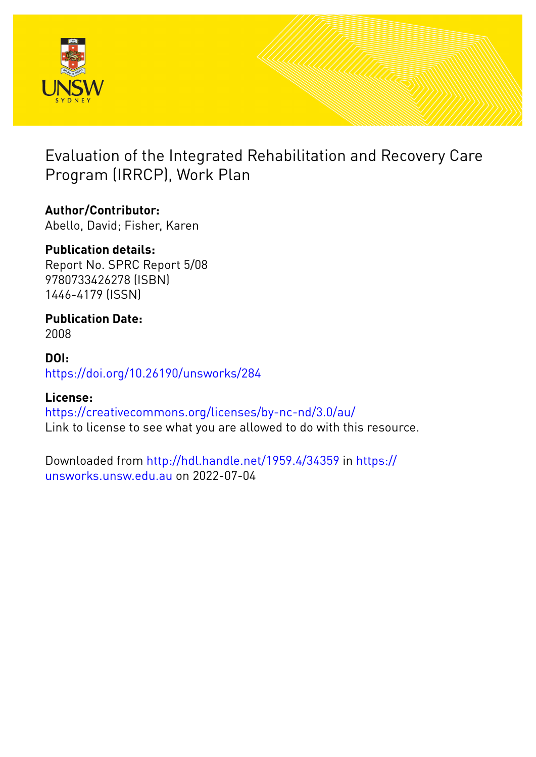

Evaluation of the Integrated Rehabilitation and Recovery Care Program (IRRCP), Work Plan

## **Author/Contributor:**

Abello, David; Fisher, Karen

## **Publication details:**

Report No. SPRC Report 5/08 9780733426278 (ISBN) 1446-4179 (ISSN)

# **Publication Date:**

2008

### **DOI:** [https://doi.org/10.26190/unsworks/284](http://dx.doi.org/https://doi.org/10.26190/unsworks/284)

## **License:**

<https://creativecommons.org/licenses/by-nc-nd/3.0/au/> Link to license to see what you are allowed to do with this resource.

Downloaded from <http://hdl.handle.net/1959.4/34359> in [https://](https://unsworks.unsw.edu.au) [unsworks.unsw.edu.au](https://unsworks.unsw.edu.au) on 2022-07-04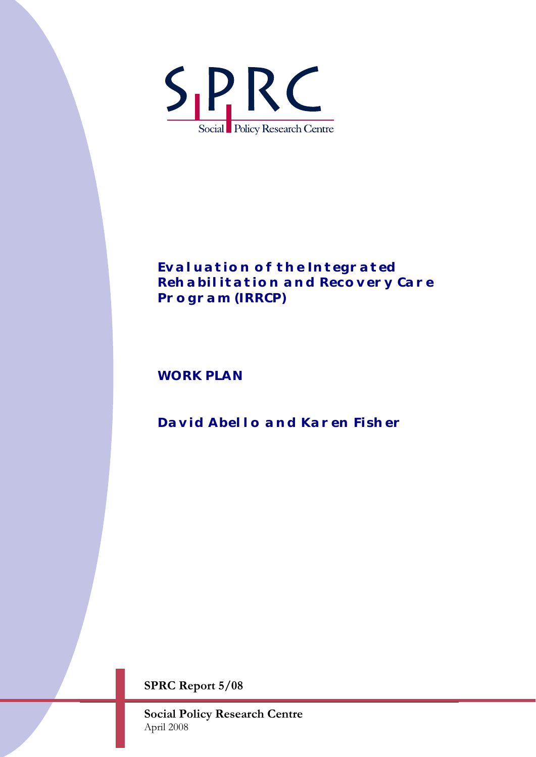

## *Evaluation of the Integrated Rehabilitation and Recovery Care Program (IRRCP)*

*WORK PLAN* 

## *David Abello and Karen Fisher*

**SPRC Report 5/08** 

**Social Policy Research Centre** April 2008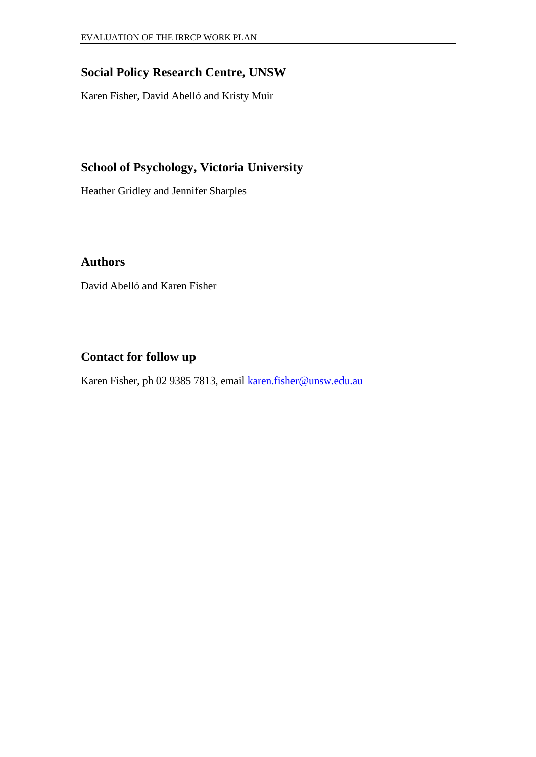### **Social Policy Research Centre, UNSW**

Karen Fisher, David Abelló and Kristy Muir

## **School of Psychology, Victoria University**

Heather Gridley and Jennifer Sharples

#### **Authors**

David Abelló and Karen Fisher

### **Contact for follow up**

Karen Fisher, ph 02 9385 7813, email [karen.fisher@unsw.edu.au](mailto:karen.fisher@unsw.edu.au)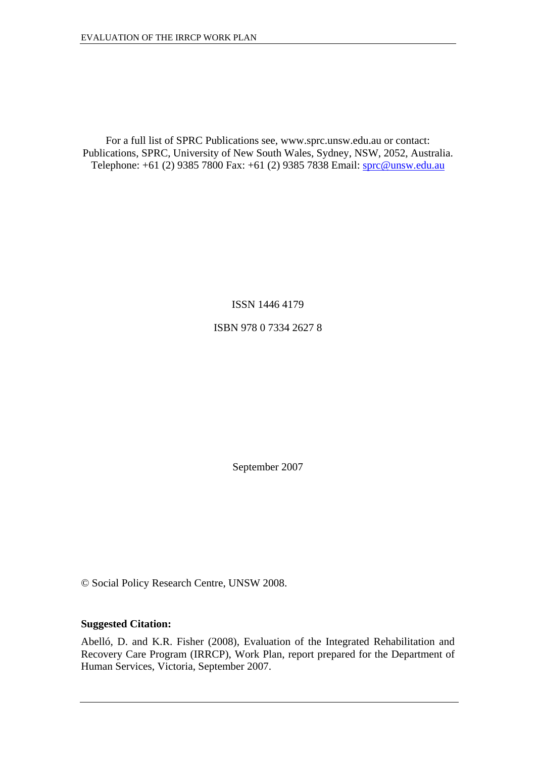For a full list of SPRC Publications see, www.sprc.unsw.edu.au or contact: Publications, SPRC, University of New South Wales, Sydney, NSW, 2052, Australia. Telephone: +61 (2) 9385 7800 Fax: +61 (2) 9385 7838 Email: [sprc@unsw.edu.au](mailto:sprc@unsw.edu.au)

ISSN 1446 4179

ISBN 978 0 7334 2627 8

September 2007

© Social Policy Research Centre, UNSW 2008.

#### **Suggested Citation:**

Abelló, D. and K.R. Fisher (2008), Evaluation of the Integrated Rehabilitation and Recovery Care Program (IRRCP), Work Plan, report prepared for the Department of Human Services, Victoria, September 2007.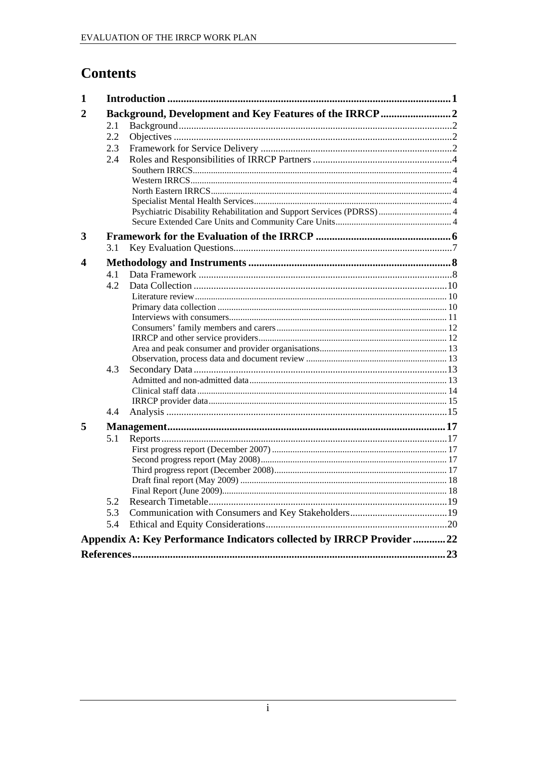## **Contents**

| 1 |     |                                                                        |  |
|---|-----|------------------------------------------------------------------------|--|
| 2 |     | Background, Development and Key Features of the IRRCP2                 |  |
|   | 2.1 |                                                                        |  |
|   | 2.2 |                                                                        |  |
|   | 2.3 |                                                                        |  |
|   | 2.4 |                                                                        |  |
|   |     |                                                                        |  |
|   |     |                                                                        |  |
|   |     |                                                                        |  |
|   |     |                                                                        |  |
|   |     | Psychiatric Disability Rehabilitation and Support Services (PDRSS)  4  |  |
|   |     |                                                                        |  |
| 3 |     |                                                                        |  |
|   | 3.1 |                                                                        |  |
| 4 |     |                                                                        |  |
|   | 4.1 |                                                                        |  |
|   | 4.2 |                                                                        |  |
|   |     |                                                                        |  |
|   |     |                                                                        |  |
|   |     |                                                                        |  |
|   |     |                                                                        |  |
|   |     |                                                                        |  |
|   |     |                                                                        |  |
|   |     |                                                                        |  |
|   | 4.3 |                                                                        |  |
|   |     |                                                                        |  |
|   |     |                                                                        |  |
|   |     |                                                                        |  |
|   | 4.4 |                                                                        |  |
| 5 |     |                                                                        |  |
|   | 5.1 |                                                                        |  |
|   |     |                                                                        |  |
|   |     |                                                                        |  |
|   |     |                                                                        |  |
|   |     |                                                                        |  |
|   |     |                                                                        |  |
|   | 5.2 |                                                                        |  |
|   | 5.3 |                                                                        |  |
|   | 5.4 |                                                                        |  |
|   |     | Appendix A: Key Performance Indicators collected by IRRCP Provider  22 |  |
|   |     |                                                                        |  |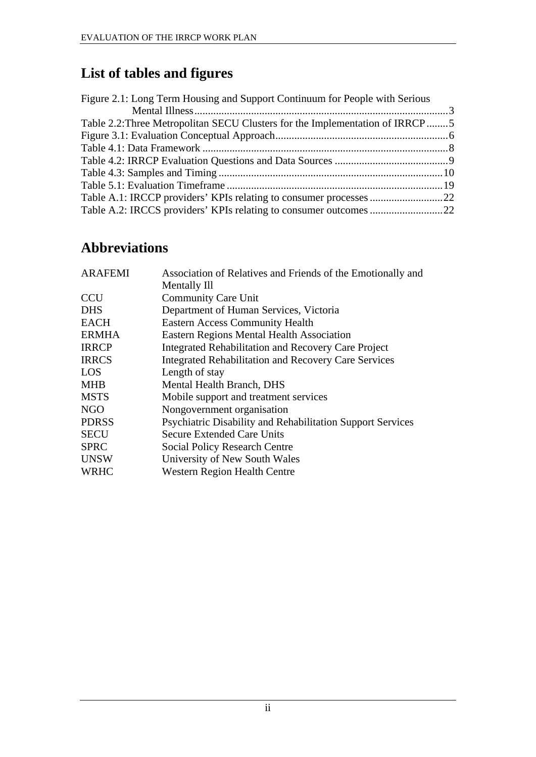## **List of tables and figures**

| Figure 2.1: Long Term Housing and Support Continuum for People with Serious  |  |
|------------------------------------------------------------------------------|--|
|                                                                              |  |
| Table 2.2: Three Metropolitan SECU Clusters for the Implementation of IRRCP5 |  |
|                                                                              |  |
|                                                                              |  |
|                                                                              |  |
|                                                                              |  |
|                                                                              |  |
|                                                                              |  |
|                                                                              |  |

## **Abbreviations**

| <b>ARAFEMI</b> | Association of Relatives and Friends of the Emotionally and       |
|----------------|-------------------------------------------------------------------|
|                | Mentally Ill                                                      |
| <b>CCU</b>     | <b>Community Care Unit</b>                                        |
| <b>DHS</b>     | Department of Human Services, Victoria                            |
| <b>EACH</b>    | <b>Eastern Access Community Health</b>                            |
| <b>ERMHA</b>   | <b>Eastern Regions Mental Health Association</b>                  |
| <b>IRRCP</b>   | Integrated Rehabilitation and Recovery Care Project               |
| <b>IRRCS</b>   | Integrated Rehabilitation and Recovery Care Services              |
| <b>LOS</b>     | Length of stay                                                    |
| <b>MHB</b>     | Mental Health Branch, DHS                                         |
| <b>MSTS</b>    | Mobile support and treatment services                             |
| <b>NGO</b>     | Nongovernment organisation                                        |
| <b>PDRSS</b>   | <b>Psychiatric Disability and Rehabilitation Support Services</b> |
| <b>SECU</b>    | <b>Secure Extended Care Units</b>                                 |
| <b>SPRC</b>    | <b>Social Policy Research Centre</b>                              |
| <b>UNSW</b>    | University of New South Wales                                     |
| <b>WRHC</b>    | <b>Western Region Health Centre</b>                               |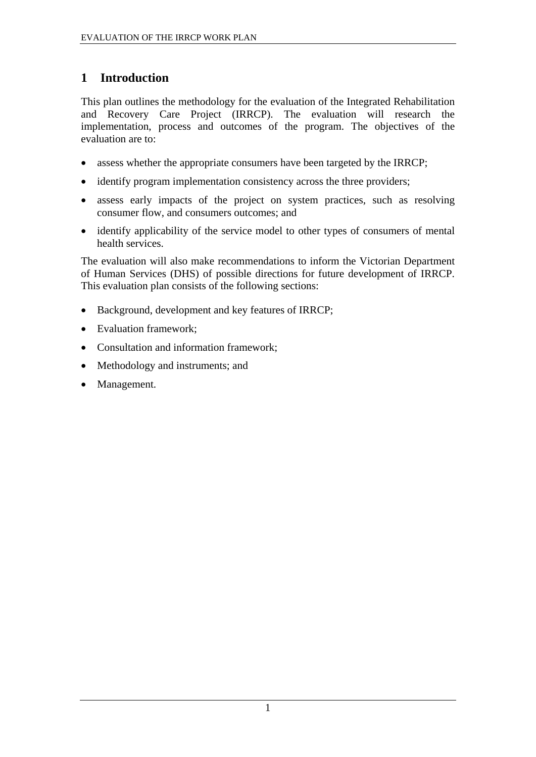## <span id="page-6-0"></span>**1 Introduction**

This plan outlines the methodology for the evaluation of the Integrated Rehabilitation and Recovery Care Project (IRRCP). The evaluation will research the implementation, process and outcomes of the program. The objectives of the evaluation are to:

- assess whether the appropriate consumers have been targeted by the IRRCP;
- identify program implementation consistency across the three providers;
- assess early impacts of the project on system practices, such as resolving consumer flow, and consumers outcomes; and
- identify applicability of the service model to other types of consumers of mental health services.

The evaluation will also make recommendations to inform the Victorian Department of Human Services (DHS) of possible directions for future development of IRRCP. This evaluation plan consists of the following sections:

- Background, development and key features of IRRCP:
- Evaluation framework;
- Consultation and information framework:
- Methodology and instruments; and
- Management.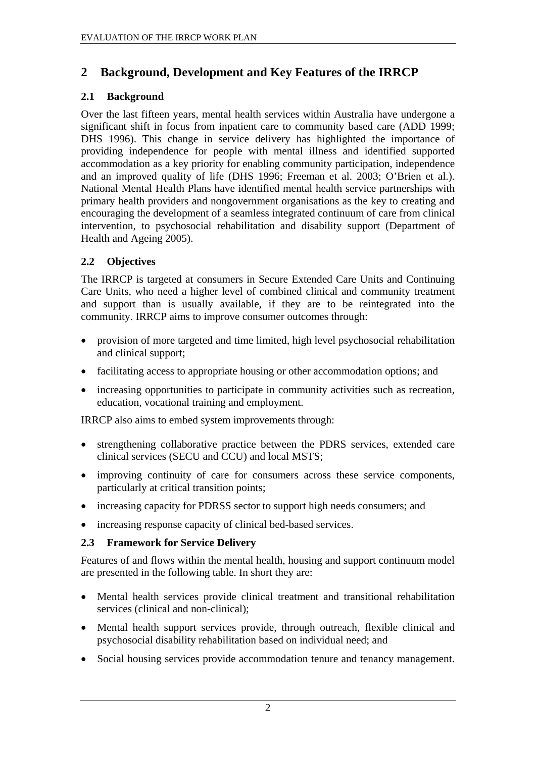### <span id="page-7-0"></span>**2 Background, Development and Key Features of the IRRCP**

#### **2.1 Background**

Over the last fifteen years, mental health services within Australia have undergone a significant shift in focus from inpatient care to community based care (ADD 1999; DHS 1996). This change in service delivery has highlighted the importance of providing independence for people with mental illness and identified supported accommodation as a key priority for enabling community participation, independence and an improved quality of life (DHS 1996; Freeman et al. 2003; O'Brien et al.). National Mental Health Plans have identified mental health service partnerships with primary health providers and nongovernment organisations as the key to creating and encouraging the development of a seamless integrated continuum of care from clinical intervention, to psychosocial rehabilitation and disability support (Department of Health and Ageing 2005).

#### **2.2 Objectives**

The IRRCP is targeted at consumers in Secure Extended Care Units and Continuing Care Units, who need a higher level of combined clinical and community treatment and support than is usually available, if they are to be reintegrated into the community. IRRCP aims to improve consumer outcomes through:

- provision of more targeted and time limited, high level psychosocial rehabilitation and clinical support;
- facilitating access to appropriate housing or other accommodation options; and
- increasing opportunities to participate in community activities such as recreation, education, vocational training and employment.

IRRCP also aims to embed system improvements through:

- strengthening collaborative practice between the PDRS services, extended care clinical services (SECU and CCU) and local MSTS;
- improving continuity of care for consumers across these service components, particularly at critical transition points;
- increasing capacity for PDRSS sector to support high needs consumers; and
- increasing response capacity of clinical bed-based services.

#### **2.3 Framework for Service Delivery**

Features of and flows within the mental health, housing and support continuum model are presented in the following table. In short they are:

- Mental health services provide clinical treatment and transitional rehabilitation services (clinical and non-clinical);
- Mental health support services provide, through outreach, flexible clinical and psychosocial disability rehabilitation based on individual need; and
- Social housing services provide accommodation tenure and tenancy management.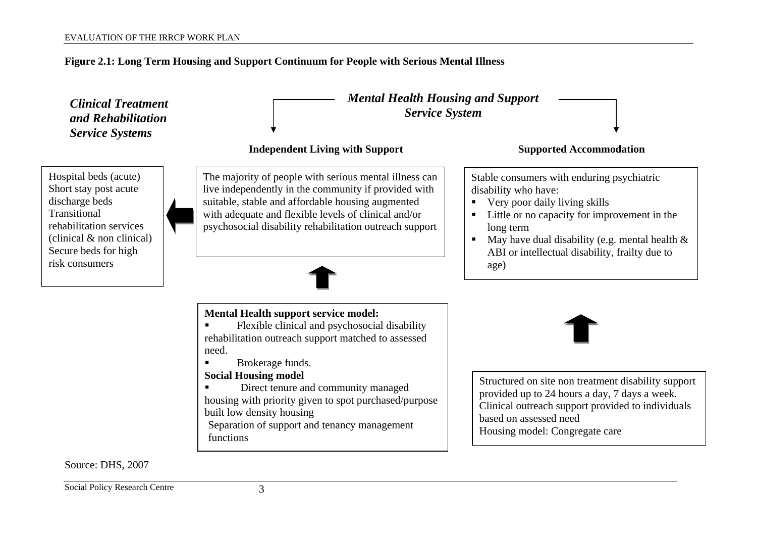#### **Figure 2.1: Long Term Housing and Support Continuum for People with Serious Mental Illness**



<span id="page-8-0"></span>Social Policy Research Centre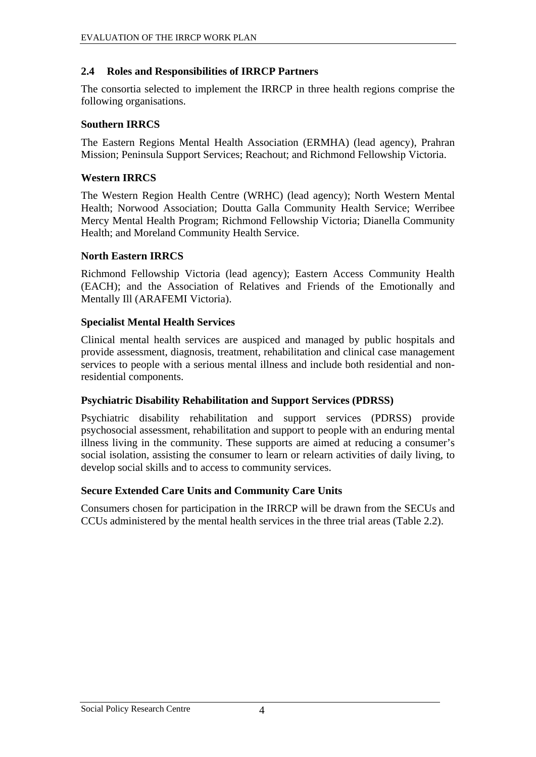#### <span id="page-9-1"></span><span id="page-9-0"></span>**2.4 Roles and Responsibilities of IRRCP Partners**

The consortia selected to implement the IRRCP in three health regions comprise the following organisations.

#### **Southern IRRCS**

The Eastern Regions Mental Health Association (ERMHA) (lead agency), Prahran Mission; Peninsula Support Services; Reachout; and Richmond Fellowship Victoria.

#### **Western IRRCS**

The Western Region Health Centre (WRHC) (lead agency); North Western Mental Health; Norwood Association; Doutta Galla Community Health Service; Werribee Mercy Mental Health Program; Richmond Fellowship Victoria; Dianella Community Health; and Moreland Community Health Service.

#### **North Eastern IRRCS**

Richmond Fellowship Victoria (lead agency); Eastern Access Community Health (EACH); and the Association of Relatives and Friends of the Emotionally and Mentally Ill (ARAFEMI Victoria).

#### **Specialist Mental Health Services**

Clinical mental health services are auspiced and managed by public hospitals and provide assessment, diagnosis, treatment, rehabilitation and clinical case management services to people with a serious mental illness and include both residential and nonresidential components.

#### **Psychiatric Disability Rehabilitation and Support Services (PDRSS)**

Psychiatric disability rehabilitation and support services (PDRSS) provide psychosocial assessment, rehabilitation and support to people with an enduring mental illness living in the community. These supports are aimed at reducing a consumer's social isolation, assisting the consumer to learn or relearn activities of daily living, to develop social skills and to access to community services.

#### **Secure Extended Care Units and Community Care Units**

Consumers chosen for participation in the IRRCP will be drawn from the SECUs and CCUs administered by the mental health services in the three trial areas ([Table 2.2\)](#page-10-1).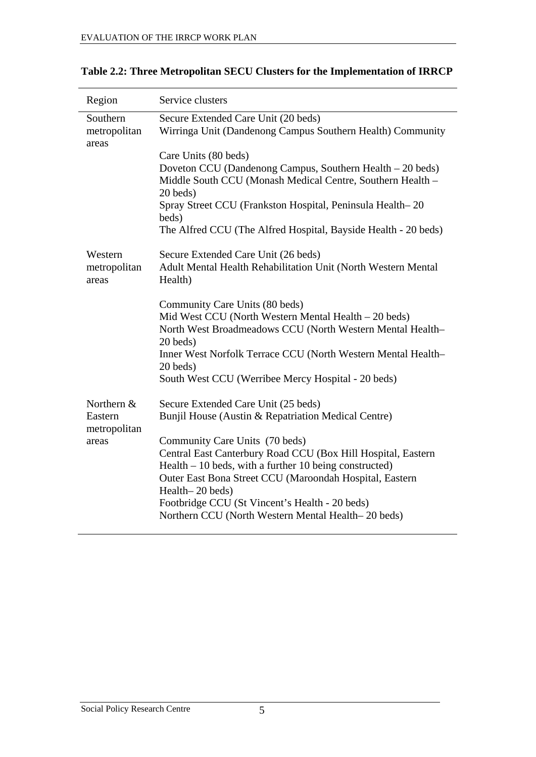| Region                                         | Service clusters                                                                                                                                                                                                                                                                                                                                                                                                                               |
|------------------------------------------------|------------------------------------------------------------------------------------------------------------------------------------------------------------------------------------------------------------------------------------------------------------------------------------------------------------------------------------------------------------------------------------------------------------------------------------------------|
| Southern<br>metropolitan<br>areas              | Secure Extended Care Unit (20 beds)<br>Wirringa Unit (Dandenong Campus Southern Health) Community                                                                                                                                                                                                                                                                                                                                              |
|                                                | Care Units (80 beds)<br>Doveton CCU (Dandenong Campus, Southern Health – 20 beds)<br>Middle South CCU (Monash Medical Centre, Southern Health -<br>20 beds)<br>Spray Street CCU (Frankston Hospital, Peninsula Health-20<br>beds)                                                                                                                                                                                                              |
|                                                | The Alfred CCU (The Alfred Hospital, Bayside Health - 20 beds)                                                                                                                                                                                                                                                                                                                                                                                 |
| Western<br>metropolitan<br>areas               | Secure Extended Care Unit (26 beds)<br>Adult Mental Health Rehabilitation Unit (North Western Mental<br>Health)                                                                                                                                                                                                                                                                                                                                |
|                                                | Community Care Units (80 beds)<br>Mid West CCU (North Western Mental Health – 20 beds)<br>North West Broadmeadows CCU (North Western Mental Health-<br>20 beds)<br>Inner West Norfolk Terrace CCU (North Western Mental Health-<br>20 beds)<br>South West CCU (Werribee Mercy Hospital - 20 beds)                                                                                                                                              |
| Northern &<br>Eastern<br>metropolitan<br>areas | Secure Extended Care Unit (25 beds)<br>Bunjil House (Austin & Repatriation Medical Centre)<br>Community Care Units (70 beds)<br>Central East Canterbury Road CCU (Box Hill Hospital, Eastern<br>$Health - 10$ beds, with a further 10 being constructed)<br>Outer East Bona Street CCU (Maroondah Hospital, Eastern<br>Health-20 beds)<br>Footbridge CCU (St Vincent's Health - 20 beds)<br>Northern CCU (North Western Mental Health–20 beds) |

<span id="page-10-1"></span><span id="page-10-0"></span>**Table 2.2: Three Metropolitan SECU Clusters for the Implementation of IRRCP**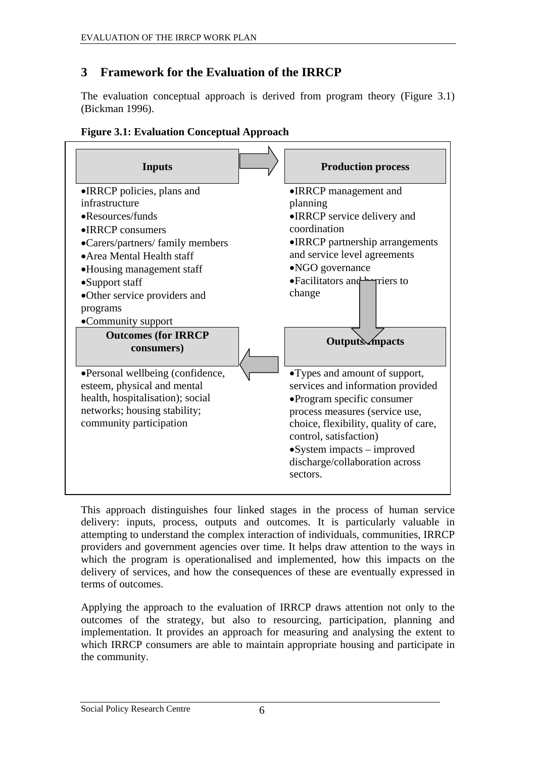## <span id="page-11-0"></span>**3 Framework for the Evaluation of the IRRCP**

The evaluation conceptual approach is derived from program theory [\(Figure 3.1](#page-11-1)) (Bickman 1996).

<span id="page-11-1"></span>

| <b>Inputs</b>                                                   | <b>Production process</b>                                          |
|-----------------------------------------------------------------|--------------------------------------------------------------------|
| •IRRCP policies, plans and                                      | •IRRCP management and                                              |
| infrastructure                                                  | planning                                                           |
| •Resources/funds                                                | • IRRCP service delivery and                                       |
| $\bullet$ IRRCP consumers                                       | coordination                                                       |
| •Carers/partners/ family members                                | • IRRCP partnership arrangements                                   |
| • Area Mental Health staff                                      | and service level agreements                                       |
| •Housing management staff                                       | •NGO governance                                                    |
| •Support staff                                                  | • Facilitators and <b>Ferriers</b> to                              |
| •Other service providers and                                    | change                                                             |
| programs                                                        |                                                                    |
| •Community support                                              |                                                                    |
| <b>Outcomes (for IRRCP</b><br>consumers)                        | <b>Outputs</b> <i>mpacts</i>                                       |
| •Personal wellbeing (confidence,                                | •Types and amount of support,<br>services and information provided |
| esteem, physical and mental<br>health, hospitalisation); social | •Program specific consumer                                         |
| networks; housing stability;                                    | process measures (service use,                                     |
| community participation                                         | choice, flexibility, quality of care,                              |
|                                                                 | control, satisfaction)                                             |
|                                                                 | $\bullet$ System impacts – improved                                |
|                                                                 | discharge/collaboration across<br>sectors.                         |

#### **Figure 3.1: Evaluation Conceptual Approach**

This approach distinguishes four linked stages in the process of human service delivery: inputs, process, outputs and outcomes. It is particularly valuable in attempting to understand the complex interaction of individuals, communities, IRRCP providers and government agencies over time. It helps draw attention to the ways in which the program is operationalised and implemented, how this impacts on the delivery of services, and how the consequences of these are eventually expressed in terms of outcomes.

Applying the approach to the evaluation of IRRCP draws attention not only to the outcomes of the strategy, but also to resourcing, participation, planning and implementation. It provides an approach for measuring and analysing the extent to which IRRCP consumers are able to maintain appropriate housing and participate in the community.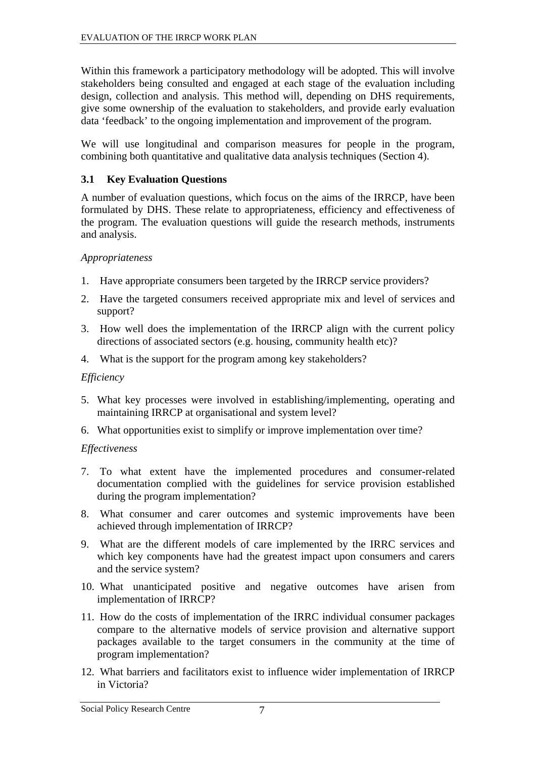<span id="page-12-0"></span>Within this framework a participatory methodology will be adopted. This will involve stakeholders being consulted and engaged at each stage of the evaluation including design, collection and analysis. This method will, depending on DHS requirements, give some ownership of the evaluation to stakeholders, and provide early evaluation data 'feedback' to the ongoing implementation and improvement of the program.

We will use longitudinal and comparison measures for people in the program, combining both quantitative and qualitative data analysis techniques (Section 4).

#### **3.1 Key Evaluation Questions**

A number of evaluation questions, which focus on the aims of the IRRCP, have been formulated by DHS. These relate to appropriateness, efficiency and effectiveness of the program. The evaluation questions will guide the research methods, instruments and analysis.

#### *Appropriateness*

- 1. Have appropriate consumers been targeted by the IRRCP service providers?
- 2. Have the targeted consumers received appropriate mix and level of services and support?
- 3. How well does the implementation of the IRRCP align with the current policy directions of associated sectors (e.g. housing, community health etc)?
- 4. What is the support for the program among key stakeholders?

#### *Efficiency*

- 5. What key processes were involved in establishing/implementing, operating and maintaining IRRCP at organisational and system level?
- 6. What opportunities exist to simplify or improve implementation over time?

#### *Effectiveness*

- 7. To what extent have the implemented procedures and consumer-related documentation complied with the guidelines for service provision established during the program implementation?
- 8. What consumer and carer outcomes and systemic improvements have been achieved through implementation of IRRCP?
- 9. What are the different models of care implemented by the IRRC services and which key components have had the greatest impact upon consumers and carers and the service system?
- 10. What unanticipated positive and negative outcomes have arisen from implementation of IRRCP?
- 11. How do the costs of implementation of the IRRC individual consumer packages compare to the alternative models of service provision and alternative support packages available to the target consumers in the community at the time of program implementation?
- 12. What barriers and facilitators exist to influence wider implementation of IRRCP in Victoria?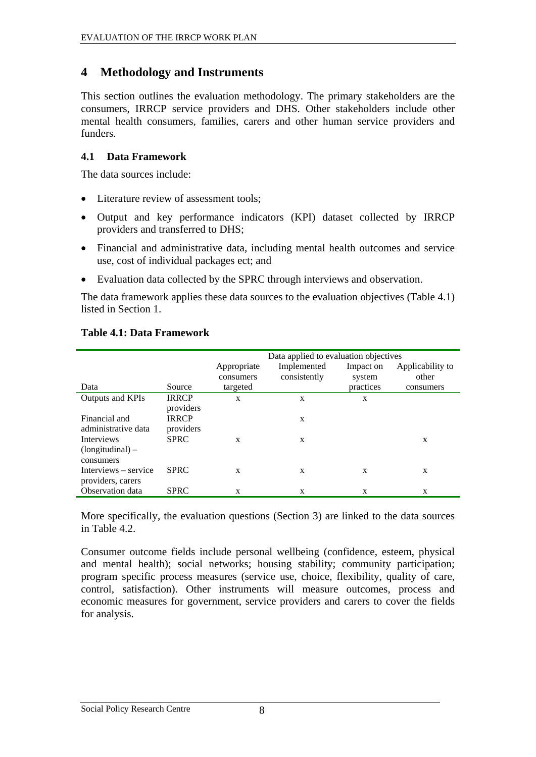### <span id="page-13-0"></span>**4 Methodology and Instruments**

This section outlines the evaluation methodology. The primary stakeholders are the consumers, IRRCP service providers and DHS. Other stakeholders include other mental health consumers, families, carers and other human service providers and funders.

#### **4.1 Data Framework**

The data sources include:

- Literature review of assessment tools:
- Output and key performance indicators (KPI) dataset collected by IRRCP providers and transferred to DHS;
- Financial and administrative data, including mental health outcomes and service use, cost of individual packages ect; and
- Evaluation data collected by the SPRC through interviews and observation.

The data framework applies these data sources to the evaluation objectives [\(Table 4.1](#page-13-1)) listed in Section 1.

#### **Table 4.1: Data Framework**

<span id="page-13-1"></span>

|                      |              |             | Data applied to evaluation objectives |           |                  |
|----------------------|--------------|-------------|---------------------------------------|-----------|------------------|
|                      |              | Appropriate | Implemented                           | Impact on | Applicability to |
|                      |              | consumers   | consistently                          | system    | other            |
| Data                 | Source       | targeted    |                                       | practices | consumers        |
| Outputs and KPIs     | <b>IRRCP</b> | X           | X                                     | X         |                  |
|                      | providers    |             |                                       |           |                  |
| Financial and        | <b>IRRCP</b> |             | X                                     |           |                  |
| administrative data  | providers    |             |                                       |           |                  |
| <b>Interviews</b>    | <b>SPRC</b>  | X           | X                                     |           | X                |
| $(longitudinal)$ –   |              |             |                                       |           |                  |
| consumers            |              |             |                                       |           |                  |
| Interviews – service | <b>SPRC</b>  | X           | X                                     | X         | X                |
| providers, carers    |              |             |                                       |           |                  |
| Observation data     | <b>SPRC</b>  | X           | X                                     | X         | X                |

More specifically, the evaluation questions (Section 3) are linked to the data sources in [Table 4.2.](#page-14-1)

Consumer outcome fields include personal wellbeing (confidence, esteem, physical and mental health); social networks; housing stability; community participation; program specific process measures (service use, choice, flexibility, quality of care, control, satisfaction). Other instruments will measure outcomes, process and economic measures for government, service providers and carers to cover the fields for analysis.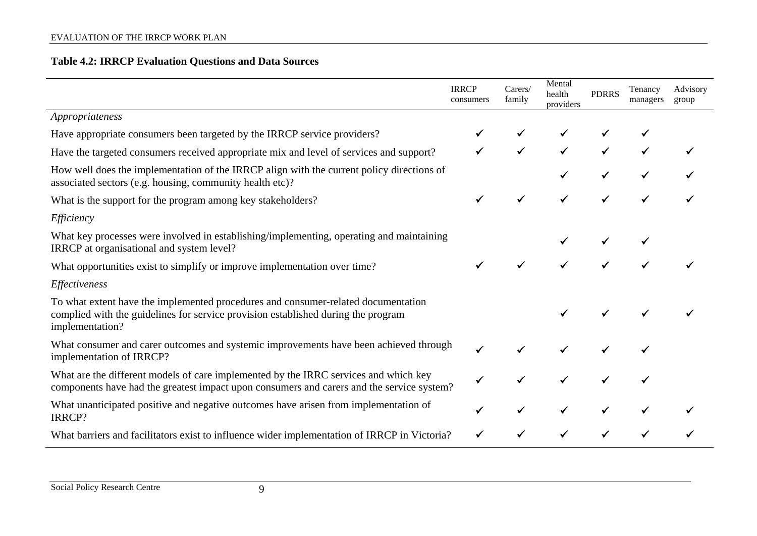|                                                                                                                                                                                           | <b>IRRCP</b><br>consumers | Carers/<br>family | Mental<br>health<br>providers | <b>PDRRS</b> | Tenancy<br>managers | Advisory<br>group |
|-------------------------------------------------------------------------------------------------------------------------------------------------------------------------------------------|---------------------------|-------------------|-------------------------------|--------------|---------------------|-------------------|
| Appropriateness                                                                                                                                                                           |                           |                   |                               |              |                     |                   |
| Have appropriate consumers been targeted by the IRRCP service providers?                                                                                                                  |                           |                   |                               |              |                     |                   |
| Have the targeted consumers received appropriate mix and level of services and support?                                                                                                   |                           |                   |                               |              |                     |                   |
| How well does the implementation of the IRRCP align with the current policy directions of<br>associated sectors (e.g. housing, community health etc)?                                     |                           |                   |                               |              |                     |                   |
| What is the support for the program among key stakeholders?                                                                                                                               |                           |                   |                               |              |                     |                   |
| Efficiency                                                                                                                                                                                |                           |                   |                               |              |                     |                   |
| What key processes were involved in establishing/implementing, operating and maintaining<br>IRRCP at organisational and system level?                                                     |                           |                   |                               |              |                     |                   |
| What opportunities exist to simplify or improve implementation over time?                                                                                                                 |                           |                   |                               |              |                     |                   |
| Effectiveness                                                                                                                                                                             |                           |                   |                               |              |                     |                   |
| To what extent have the implemented procedures and consumer-related documentation<br>complied with the guidelines for service provision established during the program<br>implementation? |                           |                   |                               |              |                     |                   |
| What consumer and carer outcomes and systemic improvements have been achieved through<br>implementation of IRRCP?                                                                         |                           |                   |                               |              |                     |                   |
| What are the different models of care implemented by the IRRC services and which key<br>components have had the greatest impact upon consumers and carers and the service system?         |                           |                   |                               |              |                     |                   |
| What unanticipated positive and negative outcomes have arisen from implementation of<br>IRRCP?                                                                                            |                           |                   |                               |              |                     |                   |
| What barriers and facilitators exist to influence wider implementation of IRRCP in Victoria?                                                                                              |                           |                   |                               |              |                     |                   |

<span id="page-14-1"></span><span id="page-14-0"></span>Social Policy Research Centre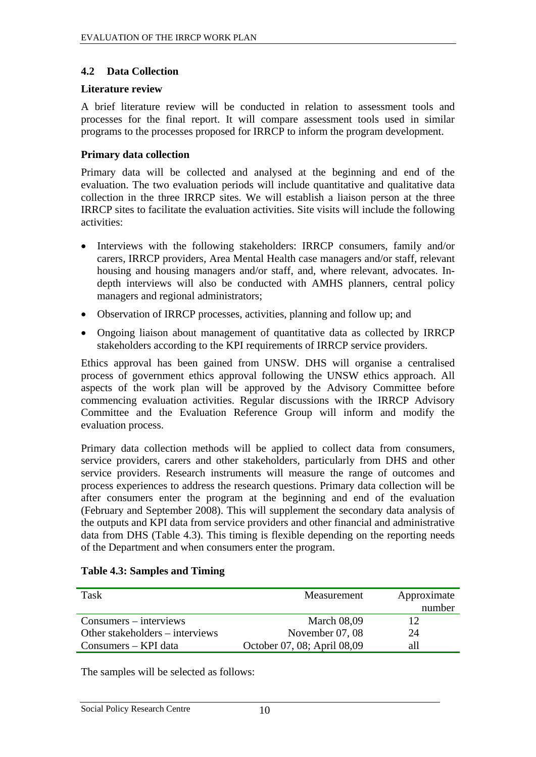#### <span id="page-15-0"></span>**4.2 Data Collection**

#### **Literature review**

A brief literature review will be conducted in relation to assessment tools and processes for the final report. It will compare assessment tools used in similar programs to the processes proposed for IRRCP to inform the program development.

#### **Primary data collection**

Primary data will be collected and analysed at the beginning and end of the evaluation. The two evaluation periods will include quantitative and qualitative data collection in the three IRRCP sites. We will establish a liaison person at the three IRRCP sites to facilitate the evaluation activities. Site visits will include the following activities:

- Interviews with the following stakeholders: IRRCP consumers, family and/or carers, IRRCP providers, Area Mental Health case managers and/or staff, relevant housing and housing managers and/or staff, and, where relevant, advocates. Indepth interviews will also be conducted with AMHS planners, central policy managers and regional administrators;
- Observation of IRRCP processes, activities, planning and follow up; and
- Ongoing liaison about management of quantitative data as collected by IRRCP stakeholders according to the KPI requirements of IRRCP service providers.

Ethics approval has been gained from UNSW. DHS will organise a centralised process of government ethics approval following the UNSW ethics approach. All aspects of the work plan will be approved by the Advisory Committee before commencing evaluation activities. Regular discussions with the IRRCP Advisory Committee and the Evaluation Reference Group will inform and modify the evaluation process.

Primary data collection methods will be applied to collect data from consumers, service providers, carers and other stakeholders, particularly from DHS and other service providers. Research instruments will measure the range of outcomes and process experiences to address the research questions. Primary data collection will be after consumers enter the program at the beginning and end of the evaluation (February and September 2008). This will supplement the secondary data analysis of the outputs and KPI data from service providers and other financial and administrative data from DHS ([Table 4.3\)](#page-15-1). This timing is flexible depending on the reporting needs of the Department and when consumers enter the program.

<span id="page-15-1"></span>

| Task                            | Measurement                 | Approximate<br>number |
|---------------------------------|-----------------------------|-----------------------|
| $Consumes - interviews$         | <b>March 08,09</b>          |                       |
| Other stakeholders – interviews | November 07, 08             | 24                    |
| Consumers – KPI data            | October 07, 08; April 08,09 | all                   |

#### **Table 4.3: Samples and Timing**

The samples will be selected as follows: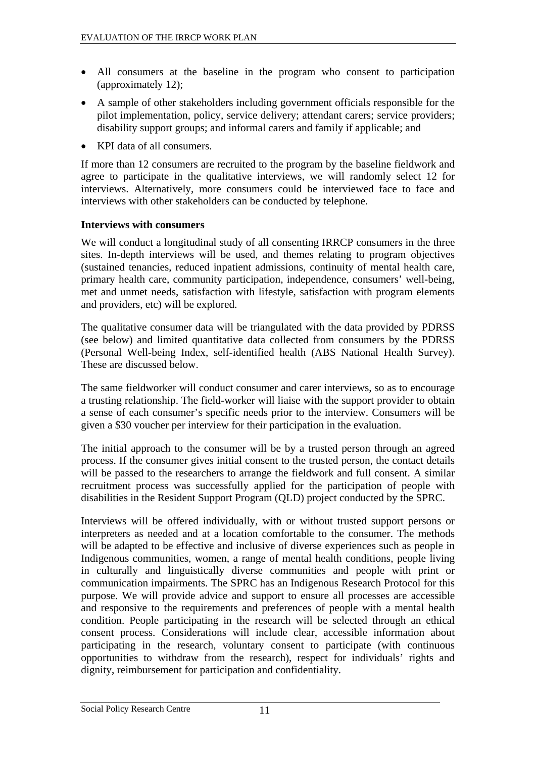- <span id="page-16-0"></span>• All consumers at the baseline in the program who consent to participation (approximately 12);
- A sample of other stakeholders including government officials responsible for the pilot implementation, policy, service delivery; attendant carers; service providers; disability support groups; and informal carers and family if applicable; and
- KPI data of all consumers.

If more than 12 consumers are recruited to the program by the baseline fieldwork and agree to participate in the qualitative interviews, we will randomly select 12 for interviews. Alternatively, more consumers could be interviewed face to face and interviews with other stakeholders can be conducted by telephone.

#### **Interviews with consumers**

We will conduct a longitudinal study of all consenting IRRCP consumers in the three sites. In-depth interviews will be used, and themes relating to program objectives (sustained tenancies, reduced inpatient admissions, continuity of mental health care, primary health care, community participation, independence, consumers' well-being, met and unmet needs, satisfaction with lifestyle, satisfaction with program elements and providers, etc) will be explored.

The qualitative consumer data will be triangulated with the data provided by PDRSS (see below) and limited quantitative data collected from consumers by the PDRSS (Personal Well-being Index, self-identified health (ABS National Health Survey). These are discussed below.

The same fieldworker will conduct consumer and carer interviews, so as to encourage a trusting relationship. The field-worker will liaise with the support provider to obtain a sense of each consumer's specific needs prior to the interview. Consumers will be given a \$30 voucher per interview for their participation in the evaluation.

The initial approach to the consumer will be by a trusted person through an agreed process. If the consumer gives initial consent to the trusted person, the contact details will be passed to the researchers to arrange the fieldwork and full consent. A similar recruitment process was successfully applied for the participation of people with disabilities in the Resident Support Program (QLD) project conducted by the SPRC.

Interviews will be offered individually, with or without trusted support persons or interpreters as needed and at a location comfortable to the consumer. The methods will be adapted to be effective and inclusive of diverse experiences such as people in Indigenous communities, women, a range of mental health conditions, people living in culturally and linguistically diverse communities and people with print or communication impairments. The SPRC has an Indigenous Research Protocol for this purpose. We will provide advice and support to ensure all processes are accessible and responsive to the requirements and preferences of people with a mental health condition. People participating in the research will be selected through an ethical consent process. Considerations will include clear, accessible information about participating in the research, voluntary consent to participate (with continuous opportunities to withdraw from the research), respect for individuals' rights and dignity, reimbursement for participation and confidentiality.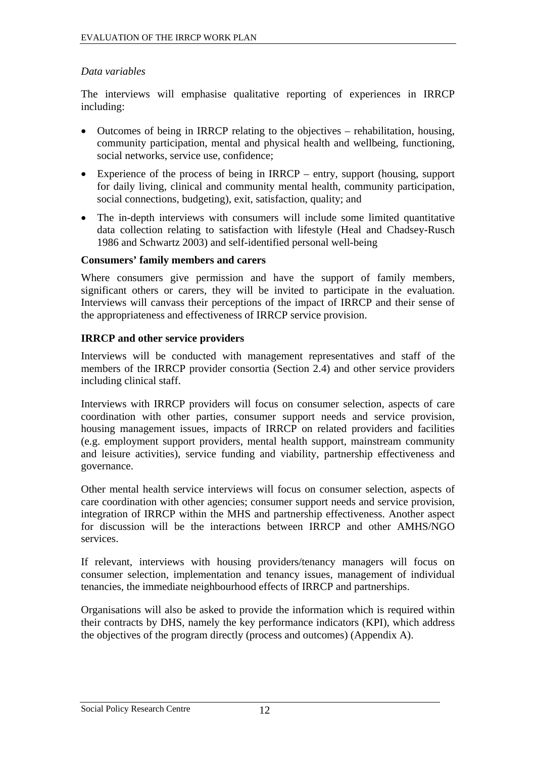#### <span id="page-17-0"></span>*Data variables*

The interviews will emphasise qualitative reporting of experiences in IRRCP including:

- Outcomes of being in IRRCP relating to the objectives rehabilitation, housing, community participation, mental and physical health and wellbeing, functioning, social networks, service use, confidence;
- Experience of the process of being in IRRCP entry, support (housing, support for daily living, clinical and community mental health, community participation, social connections, budgeting), exit, satisfaction, quality; and
- The in-depth interviews with consumers will include some limited quantitative data collection relating to satisfaction with lifestyle (Heal and Chadsey-Rusch 1986 and Schwartz 2003) and self-identified personal well-being

#### **Consumers' family members and carers**

Where consumers give permission and have the support of family members, significant others or carers, they will be invited to participate in the evaluation. Interviews will canvass their perceptions of the impact of IRRCP and their sense of the appropriateness and effectiveness of IRRCP service provision.

#### **IRRCP and other service providers**

Interviews will be conducted with management representatives and staff of the members of the IRRCP provider consortia (Section [2.4\)](#page-9-1) and other service providers including clinical staff.

Interviews with IRRCP providers will focus on consumer selection, aspects of care coordination with other parties, consumer support needs and service provision, housing management issues, impacts of IRRCP on related providers and facilities (e.g. employment support providers, mental health support, mainstream community and leisure activities), service funding and viability, partnership effectiveness and governance.

Other mental health service interviews will focus on consumer selection, aspects of care coordination with other agencies; consumer support needs and service provision, integration of IRRCP within the MHS and partnership effectiveness. Another aspect for discussion will be the interactions between IRRCP and other AMHS/NGO services.

If relevant, interviews with housing providers/tenancy managers will focus on consumer selection, implementation and tenancy issues, management of individual tenancies, the immediate neighbourhood effects of IRRCP and partnerships.

Organisations will also be asked to provide the information which is required within their contracts by DHS, namely the key performance indicators (KPI), which address the objectives of the program directly (process and outcomes) (Appendix A).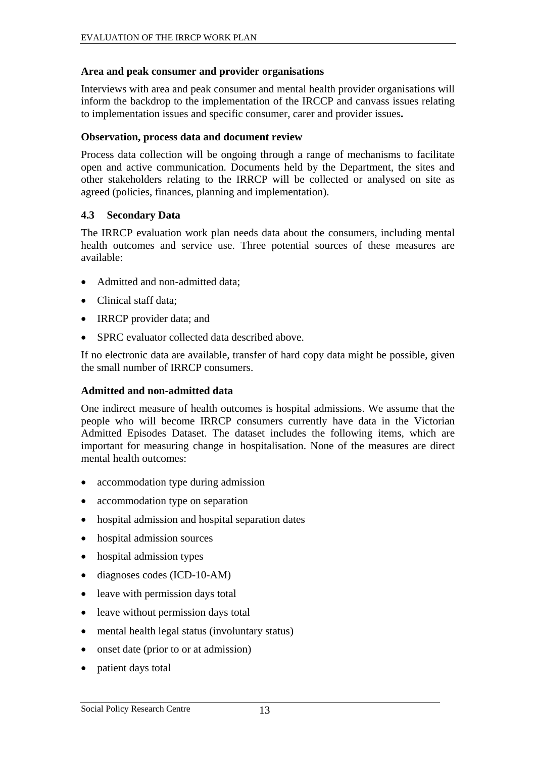#### <span id="page-18-0"></span>**Area and peak consumer and provider organisations**

Interviews with area and peak consumer and mental health provider organisations will inform the backdrop to the implementation of the IRCCP and canvass issues relating to implementation issues and specific consumer, carer and provider issues**.** 

#### **Observation, process data and document review**

Process data collection will be ongoing through a range of mechanisms to facilitate open and active communication. Documents held by the Department, the sites and other stakeholders relating to the IRRCP will be collected or analysed on site as agreed (policies, finances, planning and implementation).

#### **4.3 Secondary Data**

The IRRCP evaluation work plan needs data about the consumers, including mental health outcomes and service use. Three potential sources of these measures are available:

- Admitted and non-admitted data:
- Clinical staff data:
- IRRCP provider data; and
- SPRC evaluator collected data described above.

If no electronic data are available, transfer of hard copy data might be possible, given the small number of IRRCP consumers.

#### **Admitted and non-admitted data**

One indirect measure of health outcomes is hospital admissions. We assume that the people who will become IRRCP consumers currently have data in the Victorian Admitted Episodes Dataset. The dataset includes the following items, which are important for measuring change in hospitalisation. None of the measures are direct mental health outcomes:

- accommodation type during admission
- accommodation type on separation
- hospital admission and hospital separation dates
- hospital admission sources
- hospital admission types
- diagnoses codes (ICD-10-AM)
- leave with permission days total
- leave without permission days total
- mental health legal status (involuntary status)
- onset date (prior to or at admission)
- patient days total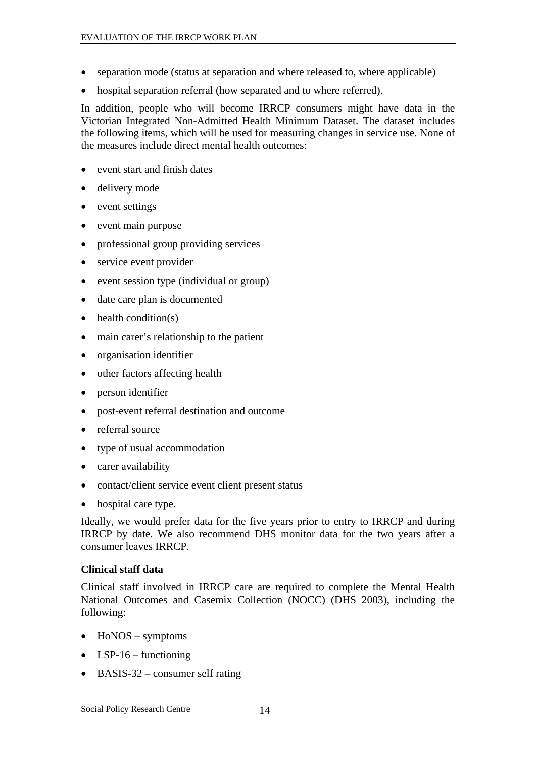- <span id="page-19-0"></span>• separation mode (status at separation and where released to, where applicable)
- hospital separation referral (how separated and to where referred).

In addition, people who will become IRRCP consumers might have data in the Victorian Integrated Non-Admitted Health Minimum Dataset. The dataset includes the following items, which will be used for measuring changes in service use. None of the measures include direct mental health outcomes:

- event start and finish dates
- delivery mode
- event settings
- event main purpose
- professional group providing services
- service event provider
- event session type (individual or group)
- date care plan is documented
- $\bullet$  health condition(s)
- main carer's relationship to the patient
- organisation identifier
- other factors affecting health
- person identifier
- post-event referral destination and outcome
- referral source
- type of usual accommodation
- carer availability
- contact/client service event client present status
- hospital care type.

Ideally, we would prefer data for the five years prior to entry to IRRCP and during IRRCP by date. We also recommend DHS monitor data for the two years after a consumer leaves IRRCP.

#### **Clinical staff data**

Clinical staff involved in IRRCP care are required to complete the Mental Health National Outcomes and Casemix Collection (NOCC) (DHS 2003), including the following:

- HoNOS symptoms
- LSP-16 functioning
- BASIS-32 consumer self rating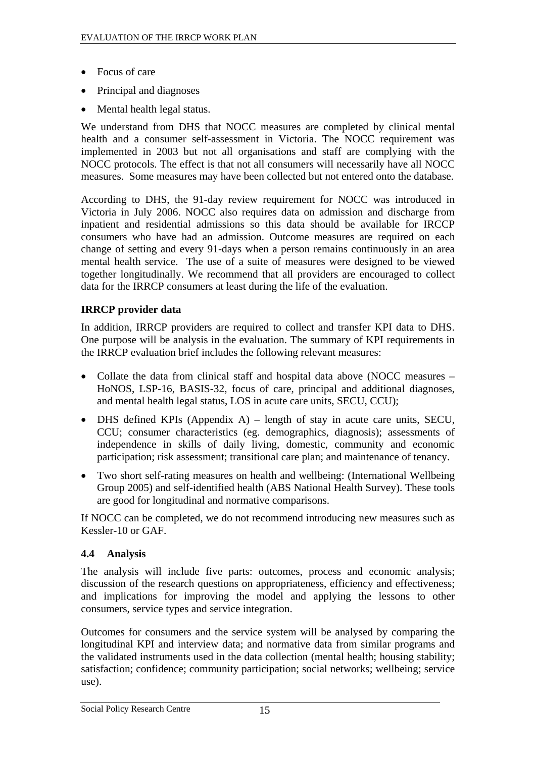- <span id="page-20-0"></span>• Focus of care
- Principal and diagnoses
- Mental health legal status.

We understand from DHS that NOCC measures are completed by clinical mental health and a consumer self-assessment in Victoria. The NOCC requirement was implemented in 2003 but not all organisations and staff are complying with the NOCC protocols. The effect is that not all consumers will necessarily have all NOCC measures. Some measures may have been collected but not entered onto the database.

According to DHS, the 91-day review requirement for NOCC was introduced in Victoria in July 2006. NOCC also requires data on admission and discharge from inpatient and residential admissions so this data should be available for IRCCP consumers who have had an admission. Outcome measures are required on each change of setting and every 91-days when a person remains continuously in an area mental health service. The use of a suite of measures were designed to be viewed together longitudinally. We recommend that all providers are encouraged to collect data for the IRRCP consumers at least during the life of the evaluation.

#### **IRRCP provider data**

In addition, IRRCP providers are required to collect and transfer KPI data to DHS. One purpose will be analysis in the evaluation. The summary of KPI requirements in the IRRCP evaluation brief includes the following relevant measures:

- Collate the data from clinical staff and hospital data above (NOCC measures HoNOS, LSP-16, BASIS-32, focus of care, principal and additional diagnoses, and mental health legal status, LOS in acute care units, SECU, CCU);
- DHS defined KPIs (Appendix A) length of stay in acute care units, SECU, CCU; consumer characteristics (eg. demographics, diagnosis); assessments of independence in skills of daily living, domestic, community and economic participation; risk assessment; transitional care plan; and maintenance of tenancy.
- Two short self-rating measures on health and wellbeing: (International Wellbeing Group 2005) and self-identified health (ABS National Health Survey). These tools are good for longitudinal and normative comparisons.

If NOCC can be completed, we do not recommend introducing new measures such as Kessler-10 or GAF.

#### **4.4 Analysis**

The analysis will include five parts: outcomes, process and economic analysis; discussion of the research questions on appropriateness, efficiency and effectiveness; and implications for improving the model and applying the lessons to other consumers, service types and service integration.

Outcomes for consumers and the service system will be analysed by comparing the longitudinal KPI and interview data; and normative data from similar programs and the validated instruments used in the data collection (mental health; housing stability; satisfaction; confidence; community participation; social networks; wellbeing; service use).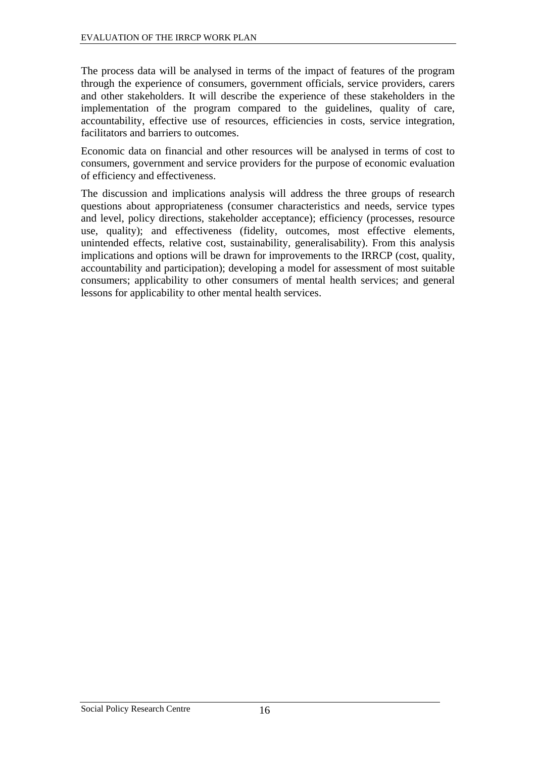The process data will be analysed in terms of the impact of features of the program through the experience of consumers, government officials, service providers, carers and other stakeholders. It will describe the experience of these stakeholders in the implementation of the program compared to the guidelines, quality of care, accountability, effective use of resources, efficiencies in costs, service integration, facilitators and barriers to outcomes.

Economic data on financial and other resources will be analysed in terms of cost to consumers, government and service providers for the purpose of economic evaluation of efficiency and effectiveness.

The discussion and implications analysis will address the three groups of research questions about appropriateness (consumer characteristics and needs, service types and level, policy directions, stakeholder acceptance); efficiency (processes, resource use, quality); and effectiveness (fidelity, outcomes, most effective elements, unintended effects, relative cost, sustainability, generalisability). From this analysis implications and options will be drawn for improvements to the IRRCP (cost, quality, accountability and participation); developing a model for assessment of most suitable consumers; applicability to other consumers of mental health services; and general lessons for applicability to other mental health services.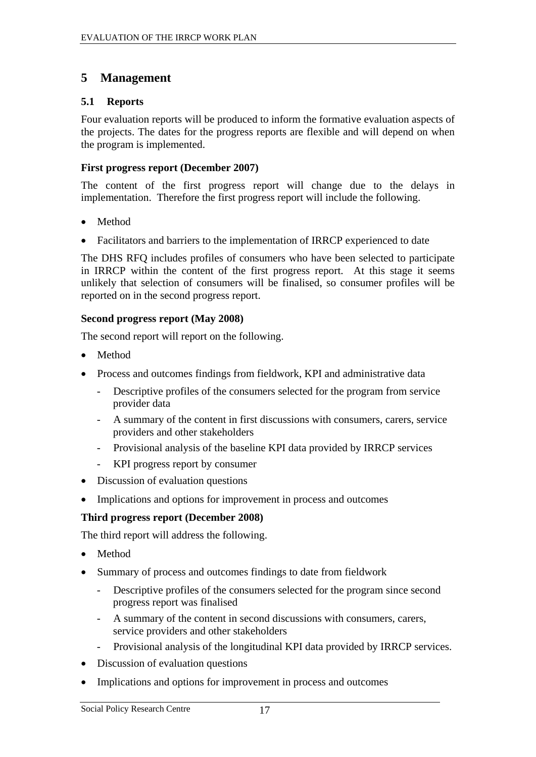### <span id="page-22-0"></span>**5 Management**

#### **5.1 Reports**

Four evaluation reports will be produced to inform the formative evaluation aspects of the projects. The dates for the progress reports are flexible and will depend on when the program is implemented.

#### **First progress report (December 2007)**

The content of the first progress report will change due to the delays in implementation. Therefore the first progress report will include the following.

- Method
- Facilitators and barriers to the implementation of IRRCP experienced to date

The DHS RFQ includes profiles of consumers who have been selected to participate in IRRCP within the content of the first progress report. At this stage it seems unlikely that selection of consumers will be finalised, so consumer profiles will be reported on in the second progress report.

#### **Second progress report (May 2008)**

The second report will report on the following.

- Method
- Process and outcomes findings from fieldwork, KPI and administrative data
	- Descriptive profiles of the consumers selected for the program from service provider data
	- A summary of the content in first discussions with consumers, carers, service providers and other stakeholders
	- Provisional analysis of the baseline KPI data provided by IRRCP services
	- KPI progress report by consumer
- Discussion of evaluation questions
- Implications and options for improvement in process and outcomes

#### **Third progress report (December 2008)**

The third report will address the following.

- Method
- Summary of process and outcomes findings to date from fieldwork
	- Descriptive profiles of the consumers selected for the program since second progress report was finalised
	- A summary of the content in second discussions with consumers, carers, service providers and other stakeholders
	- Provisional analysis of the longitudinal KPI data provided by IRRCP services.
- Discussion of evaluation questions
- Implications and options for improvement in process and outcomes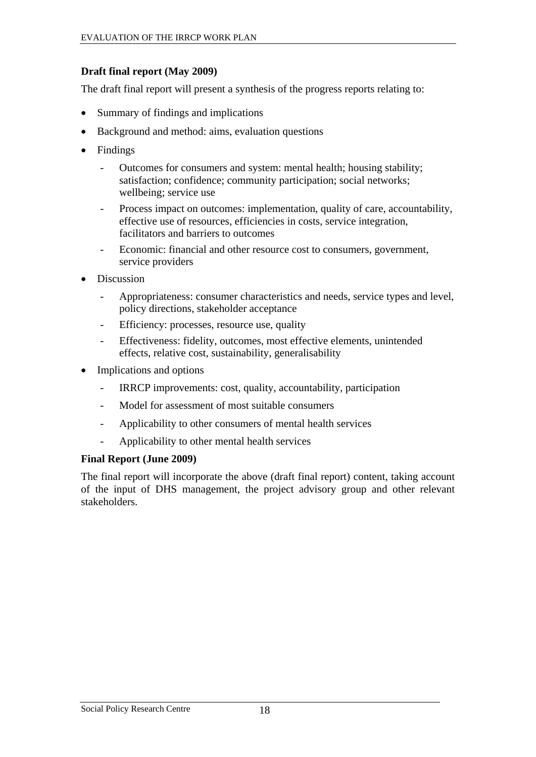#### <span id="page-23-0"></span>**Draft final report (May 2009)**

The draft final report will present a synthesis of the progress reports relating to:

- Summary of findings and implications
- Background and method: aims, evaluation questions
- Findings
	- Outcomes for consumers and system: mental health; housing stability; satisfaction; confidence; community participation; social networks; wellbeing; service use
	- Process impact on outcomes: implementation, quality of care, accountability, effective use of resources, efficiencies in costs, service integration, facilitators and barriers to outcomes
	- Economic: financial and other resource cost to consumers, government, service providers
- Discussion
	- Appropriateness: consumer characteristics and needs, service types and level, policy directions, stakeholder acceptance
	- Efficiency: processes, resource use, quality
	- Effectiveness: fidelity, outcomes, most effective elements, unintended effects, relative cost, sustainability, generalisability
- Implications and options
	- IRRCP improvements: cost, quality, accountability, participation
	- Model for assessment of most suitable consumers
	- Applicability to other consumers of mental health services
	- Applicability to other mental health services

#### **Final Report (June 2009)**

The final report will incorporate the above (draft final report) content, taking account of the input of DHS management, the project advisory group and other relevant stakeholders.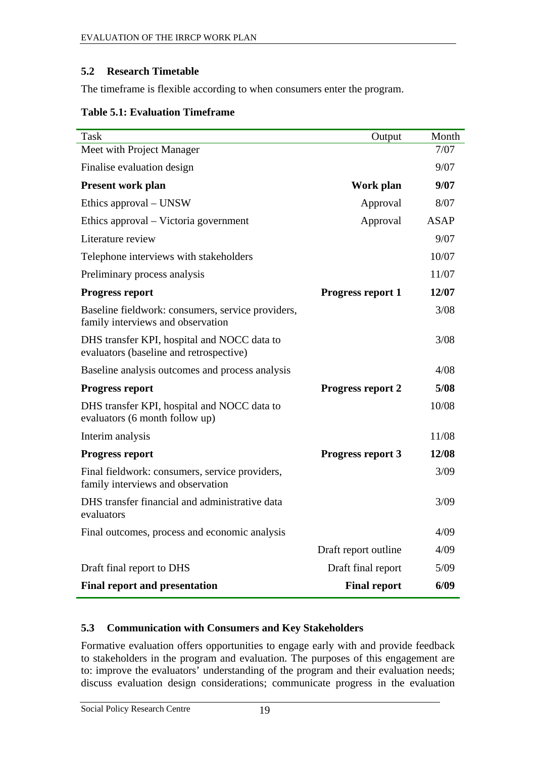#### <span id="page-24-0"></span>**5.2 Research Timetable**

The timeframe is flexible according to when consumers enter the program.

#### **Table 5.1: Evaluation Timeframe**

| Task                                                                                   | Output                   | Month       |
|----------------------------------------------------------------------------------------|--------------------------|-------------|
| Meet with Project Manager                                                              |                          | 7/07        |
| Finalise evaluation design                                                             |                          | 9/07        |
| <b>Present work plan</b>                                                               | Work plan                | 9/07        |
| Ethics approval – UNSW                                                                 | Approval                 | 8/07        |
| Ethics approval – Victoria government                                                  | Approval                 | <b>ASAP</b> |
| Literature review                                                                      |                          | 9/07        |
| Telephone interviews with stakeholders                                                 |                          | 10/07       |
| Preliminary process analysis                                                           |                          | 11/07       |
| <b>Progress report</b>                                                                 | <b>Progress report 1</b> | 12/07       |
| Baseline fieldwork: consumers, service providers,<br>family interviews and observation |                          | 3/08        |
| DHS transfer KPI, hospital and NOCC data to<br>evaluators (baseline and retrospective) |                          | 3/08        |
| Baseline analysis outcomes and process analysis                                        |                          | 4/08        |
| <b>Progress report</b>                                                                 | <b>Progress report 2</b> | 5/08        |
| DHS transfer KPI, hospital and NOCC data to<br>evaluators (6 month follow up)          |                          | 10/08       |
| Interim analysis                                                                       |                          | 11/08       |
| <b>Progress report</b>                                                                 | <b>Progress report 3</b> | 12/08       |
| Final fieldwork: consumers, service providers,<br>family interviews and observation    |                          | 3/09        |
| DHS transfer financial and administrative data<br>evaluators                           |                          | 3/09        |
| Final outcomes, process and economic analysis                                          |                          | 4/09        |
|                                                                                        | Draft report outline     | 4/09        |
| Draft final report to DHS                                                              | Draft final report       | 5/09        |
| <b>Final report and presentation</b>                                                   | <b>Final report</b>      | 6/09        |

#### **5.3 Communication with Consumers and Key Stakeholders**

Formative evaluation offers opportunities to engage early with and provide feedback to stakeholders in the program and evaluation. The purposes of this engagement are to: improve the evaluators' understanding of the program and their evaluation needs; discuss evaluation design considerations; communicate progress in the evaluation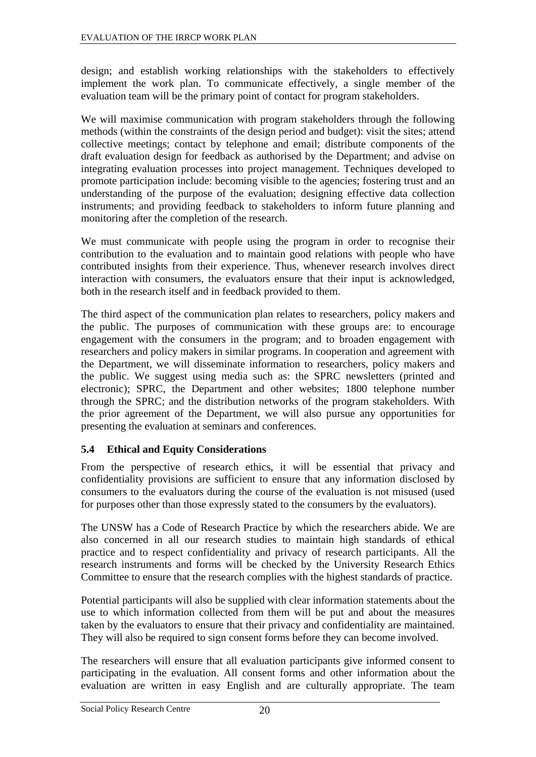<span id="page-25-0"></span>design; and establish working relationships with the stakeholders to effectively implement the work plan. To communicate effectively, a single member of the evaluation team will be the primary point of contact for program stakeholders.

We will maximise communication with program stakeholders through the following methods (within the constraints of the design period and budget): visit the sites; attend collective meetings; contact by telephone and email; distribute components of the draft evaluation design for feedback as authorised by the Department; and advise on integrating evaluation processes into project management. Techniques developed to promote participation include: becoming visible to the agencies; fostering trust and an understanding of the purpose of the evaluation; designing effective data collection instruments; and providing feedback to stakeholders to inform future planning and monitoring after the completion of the research.

We must communicate with people using the program in order to recognise their contribution to the evaluation and to maintain good relations with people who have contributed insights from their experience. Thus, whenever research involves direct interaction with consumers, the evaluators ensure that their input is acknowledged, both in the research itself and in feedback provided to them.

The third aspect of the communication plan relates to researchers, policy makers and the public. The purposes of communication with these groups are: to encourage engagement with the consumers in the program; and to broaden engagement with researchers and policy makers in similar programs. In cooperation and agreement with the Department, we will disseminate information to researchers, policy makers and the public. We suggest using media such as: the SPRC newsletters (printed and electronic); SPRC, the Department and other websites; 1800 telephone number through the SPRC; and the distribution networks of the program stakeholders. With the prior agreement of the Department, we will also pursue any opportunities for presenting the evaluation at seminars and conferences.

#### **5.4 Ethical and Equity Considerations**

From the perspective of research ethics, it will be essential that privacy and confidentiality provisions are sufficient to ensure that any information disclosed by consumers to the evaluators during the course of the evaluation is not misused (used for purposes other than those expressly stated to the consumers by the evaluators).

The UNSW has a Code of Research Practice by which the researchers abide. We are also concerned in all our research studies to maintain high standards of ethical practice and to respect confidentiality and privacy of research participants. All the research instruments and forms will be checked by the University Research Ethics Committee to ensure that the research complies with the highest standards of practice.

Potential participants will also be supplied with clear information statements about the use to which information collected from them will be put and about the measures taken by the evaluators to ensure that their privacy and confidentiality are maintained. They will also be required to sign consent forms before they can become involved.

The researchers will ensure that all evaluation participants give informed consent to participating in the evaluation. All consent forms and other information about the evaluation are written in easy English and are culturally appropriate. The team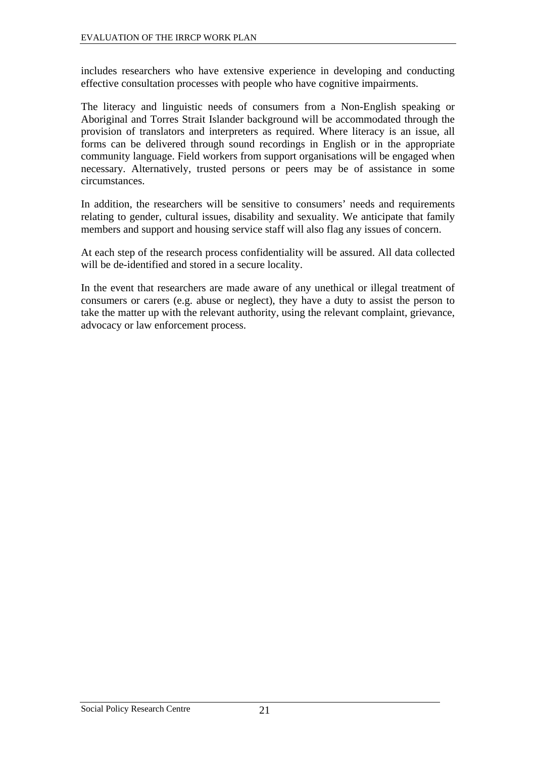includes researchers who have extensive experience in developing and conducting effective consultation processes with people who have cognitive impairments.

The literacy and linguistic needs of consumers from a Non-English speaking or Aboriginal and Torres Strait Islander background will be accommodated through the provision of translators and interpreters as required. Where literacy is an issue, all forms can be delivered through sound recordings in English or in the appropriate community language. Field workers from support organisations will be engaged when necessary. Alternatively, trusted persons or peers may be of assistance in some circumstances.

In addition, the researchers will be sensitive to consumers' needs and requirements relating to gender, cultural issues, disability and sexuality. We anticipate that family members and support and housing service staff will also flag any issues of concern.

At each step of the research process confidentiality will be assured. All data collected will be de-identified and stored in a secure locality.

In the event that researchers are made aware of any unethical or illegal treatment of consumers or carers (e.g. abuse or neglect), they have a duty to assist the person to take the matter up with the relevant authority, using the relevant complaint, grievance, advocacy or law enforcement process.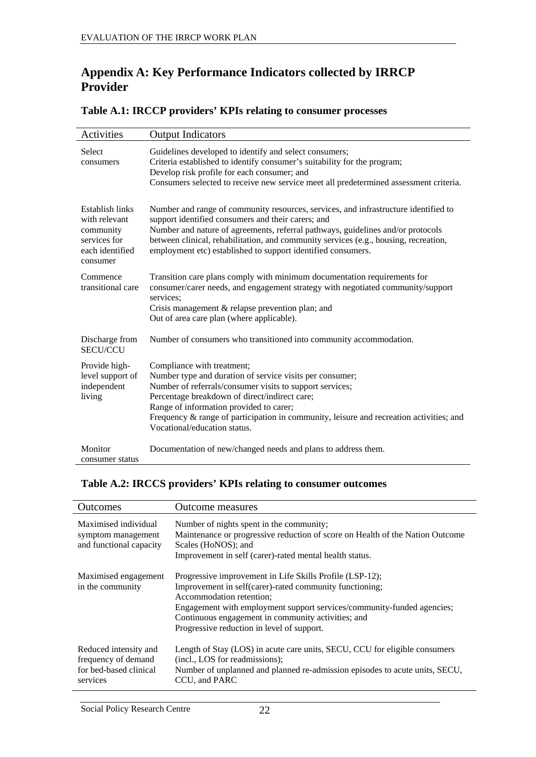## <span id="page-27-0"></span>**Appendix A: Key Performance Indicators collected by IRRCP Provider**

| <b>Activities</b>                                                                            | <b>Output Indicators</b>                                                                                                                                                                                                                                                                                                                                                             |
|----------------------------------------------------------------------------------------------|--------------------------------------------------------------------------------------------------------------------------------------------------------------------------------------------------------------------------------------------------------------------------------------------------------------------------------------------------------------------------------------|
| Select<br>consumers                                                                          | Guidelines developed to identify and select consumers;<br>Criteria established to identify consumer's suitability for the program;<br>Develop risk profile for each consumer; and<br>Consumers selected to receive new service meet all predetermined assessment criteria.                                                                                                           |
| Establish links<br>with relevant<br>community<br>services for<br>each identified<br>consumer | Number and range of community resources, services, and infrastructure identified to<br>support identified consumers and their carers; and<br>Number and nature of agreements, referral pathways, guidelines and/or protocols<br>between clinical, rehabilitation, and community services (e.g., housing, recreation,<br>employment etc) established to support identified consumers. |
| Commence<br>transitional care                                                                | Transition care plans comply with minimum documentation requirements for<br>consumer/carer needs, and engagement strategy with negotiated community/support<br>services:<br>Crisis management $&$ relapse prevention plan; and<br>Out of area care plan (where applicable).                                                                                                          |
| Discharge from<br><b>SECU/CCU</b>                                                            | Number of consumers who transitioned into community accommodation.                                                                                                                                                                                                                                                                                                                   |
| Provide high-<br>level support of<br>independent<br>living                                   | Compliance with treatment;<br>Number type and duration of service visits per consumer;<br>Number of referrals/consumer visits to support services;<br>Percentage breakdown of direct/indirect care;<br>Range of information provided to carer;<br>Frequency $\&$ range of participation in community, leisure and recreation activities; and<br>Vocational/education status.         |
| Monitor<br>consumer status                                                                   | Documentation of new/changed needs and plans to address them.                                                                                                                                                                                                                                                                                                                        |

#### **Table A.1: IRCCP providers' KPIs relating to consumer processes**

#### **Table A.2: IRCCS providers' KPIs relating to consumer outcomes**

| Outcomes                                                                           | <b>Outcome measures</b>                                                                                                                                                                                                                                                                                                       |
|------------------------------------------------------------------------------------|-------------------------------------------------------------------------------------------------------------------------------------------------------------------------------------------------------------------------------------------------------------------------------------------------------------------------------|
| Maximised individual<br>symptom management<br>and functional capacity              | Number of nights spent in the community;<br>Maintenance or progressive reduction of score on Health of the Nation Outcome<br>Scales (HoNOS); and<br>Improvement in self (carer)-rated mental health status.                                                                                                                   |
| Maximised engagement<br>in the community                                           | Progressive improvement in Life Skills Profile (LSP-12);<br>Improvement in self(carer)-rated community functioning;<br>Accommodation retention;<br>Engagement with employment support services/community-funded agencies;<br>Continuous engagement in community activities; and<br>Progressive reduction in level of support. |
| Reduced intensity and<br>frequency of demand<br>for bed-based clinical<br>services | Length of Stay (LOS) in acute care units, SECU, CCU for eligible consumers<br>(incl., LOS for readmissions);<br>Number of unplanned and planned re-admission episodes to acute units, SECU,<br>CCU, and PARC                                                                                                                  |